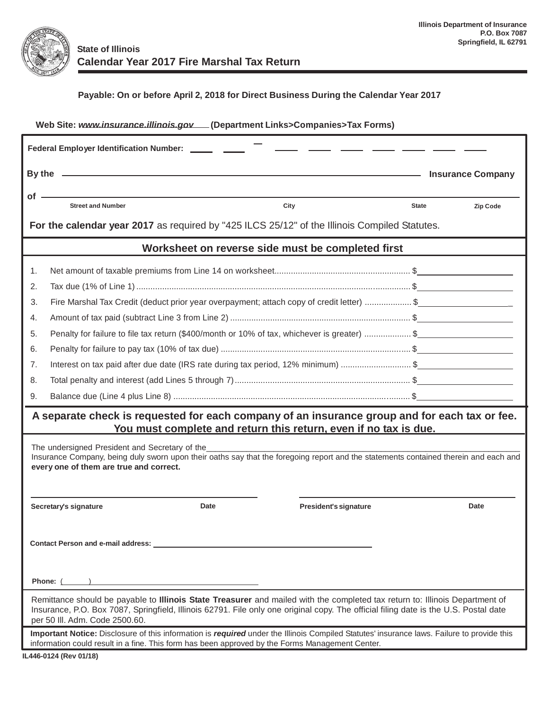

## **Payable: On or before April 2, 2018 for Direct Business During the Calendar Year 2017**

| Web Site: www.insurance.illinois.gov ___ (Department Links>Companies>Tax Forms)                                                                                                                                                                                                                        |                                                                                                                                                                                                                                                                                                                                                                                    |      |                       |              |          |  |  |  |  |  |
|--------------------------------------------------------------------------------------------------------------------------------------------------------------------------------------------------------------------------------------------------------------------------------------------------------|------------------------------------------------------------------------------------------------------------------------------------------------------------------------------------------------------------------------------------------------------------------------------------------------------------------------------------------------------------------------------------|------|-----------------------|--------------|----------|--|--|--|--|--|
| Federal Employer Identification Number: ______ ____                                                                                                                                                                                                                                                    |                                                                                                                                                                                                                                                                                                                                                                                    |      |                       |              |          |  |  |  |  |  |
|                                                                                                                                                                                                                                                                                                        | By the entry and the second state of the second state of the second state of the second state of the second state of the second state of the second state of the second state of the second state of the second state of the s<br><u> 1980 - Andrea Albert III, poet e provincia a provincia a provincia a provincia a provincia a provincia a pro</u><br><b>Insurance Company</b> |      |                       |              |          |  |  |  |  |  |
|                                                                                                                                                                                                                                                                                                        |                                                                                                                                                                                                                                                                                                                                                                                    |      |                       |              |          |  |  |  |  |  |
| of -                                                                                                                                                                                                                                                                                                   | <b>Street and Number</b>                                                                                                                                                                                                                                                                                                                                                           |      | City                  | <b>State</b> | Zip Code |  |  |  |  |  |
| For the calendar year 2017 as required by "425 ILCS 25/12" of the Illinois Compiled Statutes.                                                                                                                                                                                                          |                                                                                                                                                                                                                                                                                                                                                                                    |      |                       |              |          |  |  |  |  |  |
| Worksheet on reverse side must be completed first                                                                                                                                                                                                                                                      |                                                                                                                                                                                                                                                                                                                                                                                    |      |                       |              |          |  |  |  |  |  |
| 1.                                                                                                                                                                                                                                                                                                     |                                                                                                                                                                                                                                                                                                                                                                                    |      |                       |              |          |  |  |  |  |  |
| 2.                                                                                                                                                                                                                                                                                                     |                                                                                                                                                                                                                                                                                                                                                                                    |      |                       |              |          |  |  |  |  |  |
| 3.                                                                                                                                                                                                                                                                                                     | Fire Marshal Tax Credit (deduct prior year overpayment; attach copy of credit letter) \$                                                                                                                                                                                                                                                                                           |      |                       |              |          |  |  |  |  |  |
| 4.                                                                                                                                                                                                                                                                                                     |                                                                                                                                                                                                                                                                                                                                                                                    |      |                       |              |          |  |  |  |  |  |
| 5.                                                                                                                                                                                                                                                                                                     | Penalty for failure to file tax return (\$400/month or 10% of tax, whichever is greater) \$                                                                                                                                                                                                                                                                                        |      |                       |              |          |  |  |  |  |  |
| 6.                                                                                                                                                                                                                                                                                                     |                                                                                                                                                                                                                                                                                                                                                                                    |      |                       |              |          |  |  |  |  |  |
| 7.                                                                                                                                                                                                                                                                                                     | Interest on tax paid after due date (IRS rate during tax period, 12% minimum) \$                                                                                                                                                                                                                                                                                                   |      |                       |              |          |  |  |  |  |  |
| 8.                                                                                                                                                                                                                                                                                                     |                                                                                                                                                                                                                                                                                                                                                                                    |      |                       |              |          |  |  |  |  |  |
| 9.                                                                                                                                                                                                                                                                                                     |                                                                                                                                                                                                                                                                                                                                                                                    |      |                       |              |          |  |  |  |  |  |
| A separate check is requested for each company of an insurance group and for each tax or fee.<br>You must complete and return this return, even if no tax is due.                                                                                                                                      |                                                                                                                                                                                                                                                                                                                                                                                    |      |                       |              |          |  |  |  |  |  |
| The undersigned President and Secretary of the<br>Insurance Company, being duly sworn upon their oaths say that the foregoing report and the statements contained therein and each and<br>every one of them are true and correct.                                                                      |                                                                                                                                                                                                                                                                                                                                                                                    |      |                       |              |          |  |  |  |  |  |
|                                                                                                                                                                                                                                                                                                        | Secretary's signature                                                                                                                                                                                                                                                                                                                                                              | Date | President's signature |              | Date     |  |  |  |  |  |
| <b>Contact Person and e-mail address:</b>                                                                                                                                                                                                                                                              |                                                                                                                                                                                                                                                                                                                                                                                    |      |                       |              |          |  |  |  |  |  |
| <b>Phone:</b> ( )                                                                                                                                                                                                                                                                                      |                                                                                                                                                                                                                                                                                                                                                                                    |      |                       |              |          |  |  |  |  |  |
| Remittance should be payable to Illinois State Treasurer and mailed with the completed tax return to: Illinois Department of<br>Insurance, P.O. Box 7087, Springfield, Illinois 62791. File only one original copy. The official filing date is the U.S. Postal date<br>per 50 III. Adm. Code 2500.60. |                                                                                                                                                                                                                                                                                                                                                                                    |      |                       |              |          |  |  |  |  |  |
| Important Notice: Disclosure of this information is required under the Illinois Compiled Statutes' insurance laws. Failure to provide this<br>information could result in a fine. This form has been approved by the Forms Management Center.                                                          |                                                                                                                                                                                                                                                                                                                                                                                    |      |                       |              |          |  |  |  |  |  |
|                                                                                                                                                                                                                                                                                                        | IL446-0124 (Rev 01/18)                                                                                                                                                                                                                                                                                                                                                             |      |                       |              |          |  |  |  |  |  |